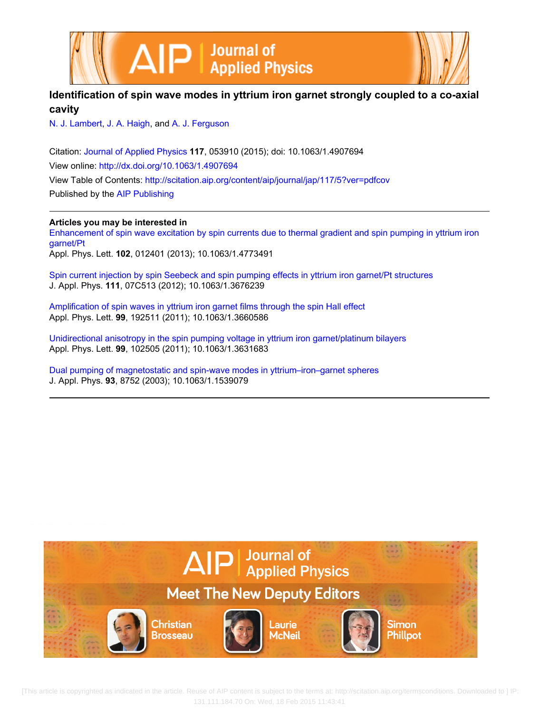



# **Identification of spin wave modes in yttrium iron garnet strongly coupled to a co-axial cavity**

[N. J. Lambert,](http://scitation.aip.org/search?value1=N.+J.+Lambert&option1=author) [J. A. Haigh](http://scitation.aip.org/search?value1=J.+A.+Haigh&option1=author), and [A. J. Ferguson](http://scitation.aip.org/search?value1=A.+J.+Ferguson&option1=author)

Citation: [Journal of Applied Physics](http://scitation.aip.org/content/aip/journal/jap?ver=pdfcov) **117**, 053910 (2015); doi: 10.1063/1.4907694 View online: <http://dx.doi.org/10.1063/1.4907694> View Table of Contents: <http://scitation.aip.org/content/aip/journal/jap/117/5?ver=pdfcov> Published by the [AIP Publishing](http://scitation.aip.org/content/aip?ver=pdfcov)

**Articles you may be interested in**

[Enhancement of spin wave excitation by spin currents due to thermal gradient and spin pumping in yttrium iron](http://scitation.aip.org/content/aip/journal/apl/102/1/10.1063/1.4773491?ver=pdfcov) [garnet/Pt](http://scitation.aip.org/content/aip/journal/apl/102/1/10.1063/1.4773491?ver=pdfcov) Appl. Phys. Lett. **102**, 012401 (2013); 10.1063/1.4773491

[Spin current injection by spin Seebeck and spin pumping effects in yttrium iron garnet/Pt structures](http://scitation.aip.org/content/aip/journal/jap/111/7/10.1063/1.3676239?ver=pdfcov) J. Appl. Phys. **111**, 07C513 (2012); 10.1063/1.3676239

[Amplification of spin waves in yttrium iron garnet films through the spin Hall effect](http://scitation.aip.org/content/aip/journal/apl/99/19/10.1063/1.3660586?ver=pdfcov) Appl. Phys. Lett. **99**, 192511 (2011); 10.1063/1.3660586

[Unidirectional anisotropy in the spin pumping voltage in yttrium iron garnet/platinum bilayers](http://scitation.aip.org/content/aip/journal/apl/99/10/10.1063/1.3631683?ver=pdfcov) Appl. Phys. Lett. **99**, 102505 (2011); 10.1063/1.3631683

[Dual pumping of magnetostatic and spin-wave modes in yttrium–iron–garnet spheres](http://scitation.aip.org/content/aip/journal/jap/93/10/10.1063/1.1539079?ver=pdfcov) J. Appl. Phys. **93**, 8752 (2003); 10.1063/1.1539079



 [This article is copyrighted as indicated in the article. Reuse of AIP content is subject to the terms at: http://scitation.aip.org/termsconditions. Downloaded to ] IP: 131.111.184.70 On: Wed, 18 Feb 2015 11:43:41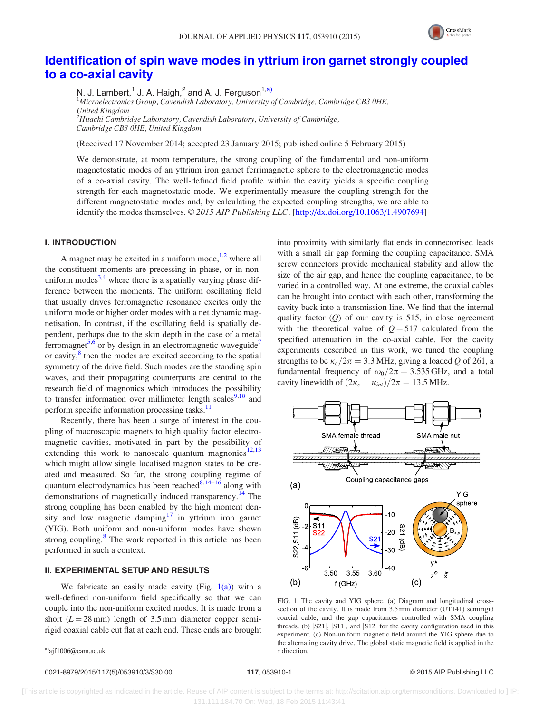

## <span id="page-1-0"></span>[Identification of spin wave modes in yttrium iron garnet strongly coupled](http://dx.doi.org/10.1063/1.4907694) [to a co-axial cavity](http://dx.doi.org/10.1063/1.4907694)

N. J. Lambert,  $1$  J. A. Haigh,  $2$  and A. J. Ferguson<sup>1,a)</sup>

<sup>1</sup>Microelectronics Group, Cavendish Laboratory, University of Cambridge, Cambridge CB3 0HE, United Kingdom  $^2$ Hitachi Cambridge Laboratory, Cavendish Laboratory, University of Cambridge,

Cambridge CB3 0HE, United Kingdom

(Received 17 November 2014; accepted 23 January 2015; published online 5 February 2015)

We demonstrate, at room temperature, the strong coupling of the fundamental and non-uniform magnetostatic modes of an yttrium iron garnet ferrimagnetic sphere to the electromagnetic modes of a co-axial cavity. The well-defined field profile within the cavity yields a specific coupling strength for each magnetostatic mode. We experimentally measure the coupling strength for the different magnetostatic modes and, by calculating the expected coupling strengths, we are able to identify the modes themselves.  $\odot$  2015 AIP Publishing LLC. [[http://dx.doi.org/10.1063/1.4907694\]](http://dx.doi.org/10.1063/1.4907694)

### I. INTRODUCTION

A magnet may be excited in a uniform mode,  $\frac{1}{2}$  where all the constituent moments are precessing in phase, or in nonuniform modes<sup>3,4</sup> where there is a spatially varying phase difference between the moments. The uniform oscillating field that usually drives ferromagnetic resonance excites only the uniform mode or higher order modes with a net dynamic magnetisation. In contrast, if the oscillating field is spatially dependent, perhaps due to the skin depth in the case of a metal ferromagnet<sup>5,6</sup> or by design in an electromagnetic waveguide<sup>7</sup> or cavity,<sup>8</sup> then the modes are excited according to the spatial symmetry of the drive field. Such modes are the standing spin waves, and their propagating counterparts are central to the research field of magnonics which introduces the possibility to transfer information over millimeter length scales<sup>[9,10](#page-3-0)</sup> and perform specific information processing tasks.<sup>11</sup>

Recently, there has been a surge of interest in the coupling of macroscopic magnets to high quality factor electromagnetic cavities, motivated in part by the possibility of extending this work to nanoscale quantum magnonics<sup>[12,13](#page-3-0)</sup> which might allow single localised magnon states to be created and measured. So far, the strong coupling regime of quantum electrodynamics has been reached $\frac{8,14-16}{ }$  along with demonstrations of magnetically induced transparency.<sup>[14](#page-3-0)</sup> The strong coupling has been enabled by the high moment den-sity and low magnetic damping<sup>[17](#page-3-0)</sup> in yttrium iron garnet (YIG). Both uniform and non-uniform modes have shown strong coupling. $8$  The work reported in this article has been performed in such a context.

## II. EXPERIMENTAL SETUP AND RESULTS

We fabricate an easily made cavity (Fig.  $1(a)$ ) with a well-defined non-uniform field specifically so that we can couple into the non-uniform excited modes. It is made from a short ( $L = 28$  mm) length of 3.5 mm diameter copper semirigid coaxial cable cut flat at each end. These ends are brought

0021-8979/2015/117(5)/053910/3/\$30.00 117, 053910-1 © 2015 AIP Publishing LLC

into proximity with similarly flat ends in connectorised leads with a small air gap forming the coupling capacitance. SMA screw connectors provide mechanical stability and allow the size of the air gap, and hence the coupling capacitance, to be varied in a controlled way. At one extreme, the coaxial cables can be brought into contact with each other, transforming the cavity back into a transmission line. We find that the internal quality factor  $(Q)$  of our cavity is 515, in close agreement with the theoretical value of  $Q = 517$  calculated from the specified attenuation in the co-axial cable. For the cavity experiments described in this work, we tuned the coupling strengths to be  $\kappa_c/2\pi=3.3$  MHz, giving a loaded Q of 261, a fundamental frequency of  $\omega_0/2\pi = 3.535$  GHz, and a total cavity linewidth of  $(2\kappa_c + \kappa_{int})/2\pi = 13.5$  MHz.



FIG. 1. The cavity and YIG sphere. (a) Diagram and longitudinal crosssection of the cavity. It is made from 3.5 mm diameter (UT141) semirigid coaxial cable, and the gap capacitances controlled with SMA coupling threads. (b)  $|S21|$ ,  $|S11|$ , and  $|S12|$  for the cavity configuration used in this experiment. (c) Non-uniform magnetic field around the YIG sphere due to the alternating cavity drive. The global static magnetic field is applied in the

 $z$  direction.  $z$  direction.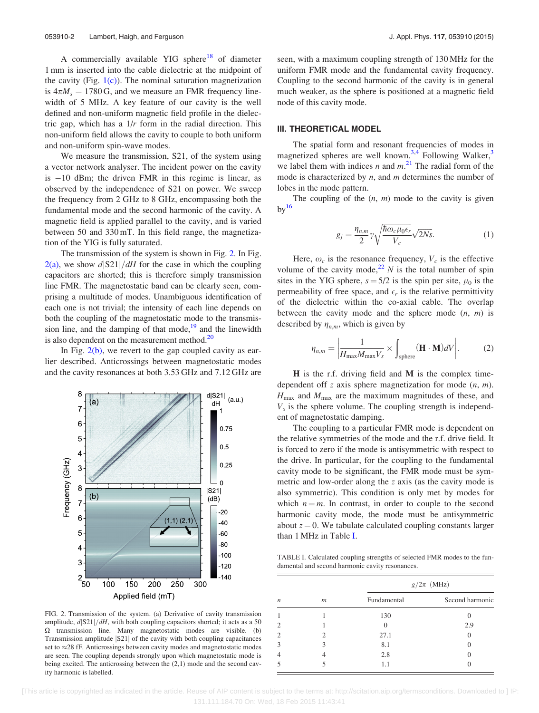A commercially available YIG sphere<sup>[18](#page-3-0)</sup> of diameter 1 mm is inserted into the cable dielectric at the midpoint of the cavity (Fig.  $1(c)$ ). The nominal saturation magnetization is  $4\pi M_s = 1780$  G, and we measure an FMR frequency linewidth of 5 MHz. A key feature of our cavity is the well defined and non-uniform magnetic field profile in the dielectric gap, which has a  $1/r$  form in the radial direction. This non-uniform field allows the cavity to couple to both uniform and non-uniform spin-wave modes.

We measure the transmission, S21, of the system using a vector network analyser. The incident power on the cavity is -10 dBm; the driven FMR in this regime is linear, as observed by the independence of S21 on power. We sweep the frequency from 2 GHz to 8 GHz, encompassing both the fundamental mode and the second harmonic of the cavity. A magnetic field is applied parallel to the cavity, and is varied between 50 and 330 mT. In this field range, the magnetization of the YIG is fully saturated.

The transmission of the system is shown in Fig. 2. In Fig.  $2(a)$ , we show  $d\frac{|S21|}{dH}$  for the case in which the coupling capacitors are shorted; this is therefore simply transmission line FMR. The magnetostatic band can be clearly seen, comprising a multitude of modes. Unambiguous identification of each one is not trivial; the intensity of each line depends on both the coupling of the magnetostatic mode to the transmission line, and the damping of that mode, $19$  and the linewidth is also dependent on the measurement method. $^{20}$ 

In Fig.  $2(b)$ , we revert to the gap coupled cavity as earlier described. Anticrossings between magnetostatic modes and the cavity resonances at both 3.53 GHz and 7.12 GHz are



FIG. 2. Transmission of the system. (a) Derivative of cavity transmission amplitude,  $d\frac{|S21|}{dH}$ , with both coupling capacitors shorted; it acts as a 50  $\Omega$  transmission line. Many magnetostatic modes are visible. (b) Transmission amplitude  $|S21|$  of the cavity with both coupling capacitances set to  $\approx$  28 fF. Anticrossings between cavity modes and magnetostatic modes are seen. The coupling depends strongly upon which magnetostatic mode is being excited. The anticrossing between the (2,1) mode and the second cavity harmonic is labelled.

seen, with a maximum coupling strength of 130 MHz for the uniform FMR mode and the fundamental cavity frequency. Coupling to the second harmonic of the cavity is in general much weaker, as the sphere is positioned at a magnetic field node of this cavity mode.

#### III. THEORETICAL MODEL

The spatial form and resonant frequencies of modes in magnetized spheres are well known.<sup>[3,4](#page-3-0)</sup> Following Walker,<sup>[3](#page-3-0)</sup> we label them with indices *n* and  $m$ .<sup>[21](#page-3-0)</sup> The radial form of the mode is characterized by  $n$ , and  $m$  determines the number of lobes in the mode pattern.

The coupling of the  $(n, m)$  mode to the cavity is given  $bv^{16}$  $bv^{16}$  $bv^{16}$ 

$$
g_j = \frac{\eta_{n,m}}{2} \gamma \sqrt{\frac{\hbar \omega_c \mu_0 \epsilon_r}{V_c}} \sqrt{2Ns}.
$$
 (1)

Here,  $\omega_c$  is the resonance frequency,  $V_c$  is the effective volume of the cavity mode,<sup>[22](#page-3-0)</sup> N is the total number of spin sites in the YIG sphere,  $s = 5/2$  is the spin per site,  $\mu_0$  is the permeability of free space, and  $\epsilon_r$  is the relative permittivity of the dielectric within the co-axial cable. The overlap between the cavity mode and the sphere mode  $(n, m)$  is described by  $\eta_{n,m}$ , which is given by

$$
\eta_{n,m} = \left| \frac{1}{H_{\text{max}} M_{\text{max}} V_s} \times \int_{\text{sphere}} (\mathbf{H} \cdot \mathbf{M}) dV \right|.
$$
 (2)

 $H$  is the r.f. driving field and  $M$  is the complex timedependent off z axis sphere magnetization for mode  $(n, m)$ .  $H_{\text{max}}$  and  $M_{\text{max}}$  are the maximum magnitudes of these, and  $V_s$  is the sphere volume. The coupling strength is independent of magnetostatic damping.

The coupling to a particular FMR mode is dependent on the relative symmetries of the mode and the r.f. drive field. It is forced to zero if the mode is antisymmetric with respect to the drive. In particular, for the coupling to the fundamental cavity mode to be significant, the FMR mode must be symmetric and low-order along the z axis (as the cavity mode is also symmetric). This condition is only met by modes for which  $n = m$ . In contrast, in order to couple to the second harmonic cavity mode, the mode must be antisymmetric about  $z = 0$ . We tabulate calculated coupling constants larger than 1 MHz in Table I.

TABLE I. Calculated coupling strengths of selected FMR modes to the fundamental and second harmonic cavity resonances.

| $\boldsymbol{n}$ | $\mathfrak{m}$ | $g/2\pi$ (MHz) |                 |
|------------------|----------------|----------------|-----------------|
|                  |                | Fundamental    | Second harmonic |
|                  |                | 130            |                 |
| $\overline{2}$   |                | $\Omega$       | 2.9             |
| $\overline{2}$   |                | 27.1           |                 |
| 3                |                | 8.1            |                 |
| 4                |                | 2.8            |                 |
|                  |                | 1.1            |                 |

 [This article is copyrighted as indicated in the article. Reuse of AIP content is subject to the terms at: http://scitation.aip.org/termsconditions. Downloaded to ] IP: 131.111.184.70 On: Wed, 18 Feb 2015 11:43:41